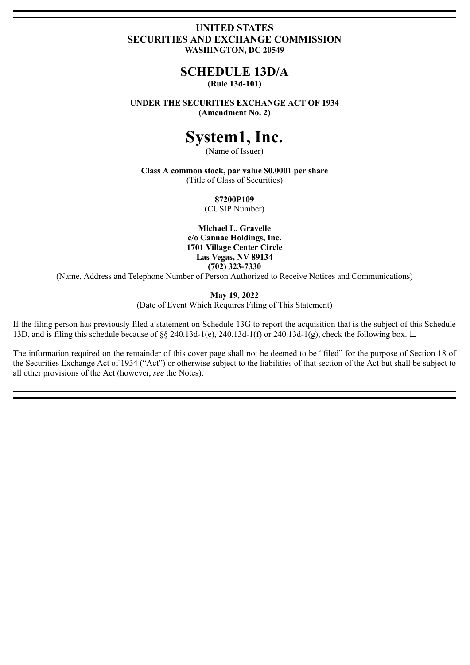## **UNITED STATES SECURITIES AND EXCHANGE COMMISSION WASHINGTON, DC 20549**

# **SCHEDULE 13D/A**

# **(Rule 13d-101)**

**UNDER THE SECURITIES EXCHANGE ACT OF 1934 (Amendment No. 2)**

# **System1, Inc.**

(Name of Issuer)

**Class A common stock, par value \$0.0001 per share** (Title of Class of Securities)

**87200P109**

(CUSIP Number)

**Michael L. Gravelle c/o Cannae Holdings, Inc. 1701 Village Center Circle Las Vegas, NV 89134 (702) 323-7330**

(Name, Address and Telephone Number of Person Authorized to Receive Notices and Communications)

**May 19, 2022**

(Date of Event Which Requires Filing of This Statement)

If the filing person has previously filed a statement on Schedule 13G to report the acquisition that is the subject of this Schedule 13D, and is filing this schedule because of  $\&$  240.13d-1(e), 240.13d-1(f) or 240.13d-1(g), check the following box.  $\Box$ 

The information required on the remainder of this cover page shall not be deemed to be "filed" for the purpose of Section 18 of the Securities Exchange Act of 1934 ("Act") or otherwise subject to the liabilities of that section of the Act but shall be subject to all other provisions of the Act (however, *see* the Notes).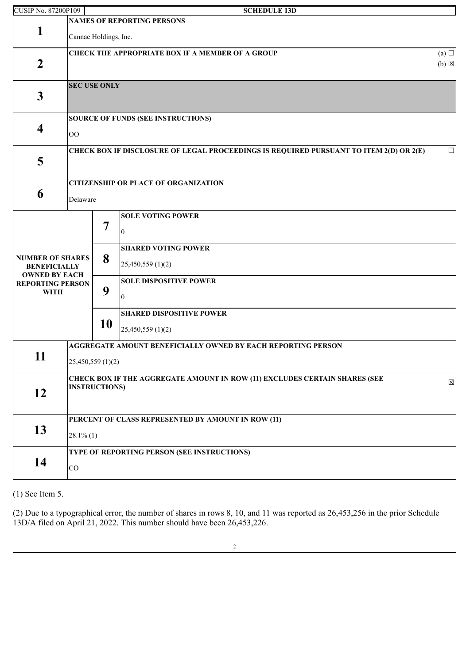| <b>CUSIP No. 87200P109</b><br><b>SCHEDULE 13D</b> |                                                              |                                                                                           |                                                                                        |            |  |  |
|---------------------------------------------------|--------------------------------------------------------------|-------------------------------------------------------------------------------------------|----------------------------------------------------------------------------------------|------------|--|--|
|                                                   |                                                              |                                                                                           | <b>NAMES OF REPORTING PERSONS</b>                                                      |            |  |  |
| 1                                                 | Cannae Holdings, Inc.                                        |                                                                                           |                                                                                        |            |  |  |
|                                                   |                                                              |                                                                                           | <b>CHECK THE APPROPRIATE BOX IF A MEMBER OF A GROUP</b>                                | (a) $\Box$ |  |  |
| $\boldsymbol{2}$                                  |                                                              | $(b) \boxtimes$                                                                           |                                                                                        |            |  |  |
| $\mathbf{3}$                                      | <b>SEC USE ONLY</b>                                          |                                                                                           |                                                                                        |            |  |  |
|                                                   | <b>SOURCE OF FUNDS (SEE INSTRUCTIONS)</b>                    |                                                                                           |                                                                                        |            |  |  |
| $\overline{\mathbf{4}}$                           | $\rm{OO}$                                                    |                                                                                           |                                                                                        |            |  |  |
|                                                   |                                                              |                                                                                           | CHECK BOX IF DISCLOSURE OF LEGAL PROCEEDINGS IS REQUIRED PURSUANT TO ITEM 2(D) OR 2(E) | $\Box$     |  |  |
| 5                                                 |                                                              |                                                                                           |                                                                                        |            |  |  |
|                                                   |                                                              |                                                                                           | <b>CITIZENSHIP OR PLACE OF ORGANIZATION</b>                                            |            |  |  |
| 6                                                 | Delaware                                                     |                                                                                           |                                                                                        |            |  |  |
|                                                   |                                                              |                                                                                           | <b>SOLE VOTING POWER</b>                                                               |            |  |  |
|                                                   | 8<br>9                                                       | 7                                                                                         | $\theta$                                                                               |            |  |  |
|                                                   |                                                              |                                                                                           |                                                                                        |            |  |  |
| <b>NUMBER OF SHARES</b>                           |                                                              |                                                                                           | <b>SHARED VOTING POWER</b>                                                             |            |  |  |
| <b>BENEFICIALLY</b><br><b>OWNED BY EACH</b>       |                                                              |                                                                                           | 25,450,559 (1)(2)                                                                      |            |  |  |
| <b>REPORTING PERSON</b>                           |                                                              |                                                                                           | <b>SOLE DISPOSITIVE POWER</b>                                                          |            |  |  |
| <b>WITH</b>                                       |                                                              |                                                                                           | 0                                                                                      |            |  |  |
|                                                   |                                                              |                                                                                           | <b>SHARED DISPOSITIVE POWER</b>                                                        |            |  |  |
|                                                   |                                                              | 10                                                                                        | 25,450,559 (1)(2)                                                                      |            |  |  |
|                                                   | AGGREGATE AMOUNT BENEFICIALLY OWNED BY EACH REPORTING PERSON |                                                                                           |                                                                                        |            |  |  |
| 11                                                | 25,450,559(1)(2)                                             |                                                                                           |                                                                                        |            |  |  |
|                                                   |                                                              | CHECK BOX IF THE AGGREGATE AMOUNT IN ROW (11) EXCLUDES CERTAIN SHARES (SEE<br>$\boxtimes$ |                                                                                        |            |  |  |
| 12                                                | <b>INSTRUCTIONS)</b>                                         |                                                                                           |                                                                                        |            |  |  |
|                                                   |                                                              |                                                                                           |                                                                                        |            |  |  |
|                                                   | PERCENT OF CLASS REPRESENTED BY AMOUNT IN ROW (11)           |                                                                                           |                                                                                        |            |  |  |
| 13                                                | $28.1\%$ (1)                                                 |                                                                                           |                                                                                        |            |  |  |
|                                                   |                                                              |                                                                                           |                                                                                        |            |  |  |
|                                                   | TYPE OF REPORTING PERSON (SEE INSTRUCTIONS)                  |                                                                                           |                                                                                        |            |  |  |
| 14                                                | CO                                                           |                                                                                           |                                                                                        |            |  |  |
|                                                   |                                                              |                                                                                           |                                                                                        |            |  |  |

(1) See Item 5.

(2) Due to a typographical error, the number of shares in rows 8, 10, and 11 was reported as 26,453,256 in the prior Schedule 13D/A filed on April 21, 2022. This number should have been 26,453,226.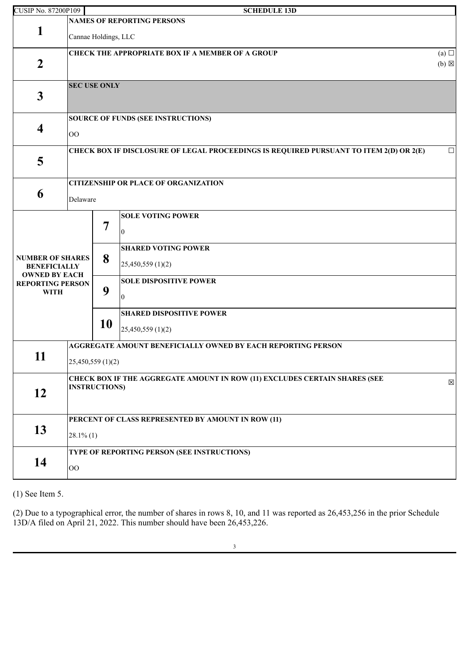| <b>CUSIP No. 87200P109</b>                      |                                                                                           |    | <b>SCHEDULE 13D</b>                                                                    |            |  |
|-------------------------------------------------|-------------------------------------------------------------------------------------------|----|----------------------------------------------------------------------------------------|------------|--|
|                                                 |                                                                                           |    | <b>NAMES OF REPORTING PERSONS</b>                                                      |            |  |
| 1                                               | Cannae Holdings, LLC                                                                      |    |                                                                                        |            |  |
|                                                 |                                                                                           |    | <b>CHECK THE APPROPRIATE BOX IF A MEMBER OF A GROUP</b>                                | (a) $\Box$ |  |
| $\boldsymbol{2}$                                |                                                                                           |    |                                                                                        |            |  |
| $\mathbf{3}$                                    | <b>SEC USE ONLY</b>                                                                       |    |                                                                                        |            |  |
|                                                 | <b>SOURCE OF FUNDS (SEE INSTRUCTIONS)</b>                                                 |    |                                                                                        |            |  |
| $\overline{\mathbf{4}}$                         | $00\,$                                                                                    |    |                                                                                        |            |  |
|                                                 |                                                                                           |    | CHECK BOX IF DISCLOSURE OF LEGAL PROCEEDINGS IS REQUIRED PURSUANT TO ITEM 2(D) OR 2(E) | $\Box$     |  |
| 5                                               |                                                                                           |    |                                                                                        |            |  |
|                                                 |                                                                                           |    | <b>CITIZENSHIP OR PLACE OF ORGANIZATION</b>                                            |            |  |
| 6<br>Delaware                                   |                                                                                           |    |                                                                                        |            |  |
|                                                 |                                                                                           |    | <b>SOLE VOTING POWER</b>                                                               |            |  |
|                                                 |                                                                                           | 7  | $\Omega$                                                                               |            |  |
|                                                 |                                                                                           |    | <b>SHARED VOTING POWER</b>                                                             |            |  |
| <b>NUMBER OF SHARES</b><br><b>BENEFICIALLY</b>  |                                                                                           | 8  | 25,450,559 (1)(2)                                                                      |            |  |
| <b>OWNED BY EACH</b><br><b>REPORTING PERSON</b> |                                                                                           |    | <b>SOLE DISPOSITIVE POWER</b>                                                          |            |  |
| <b>WITH</b>                                     |                                                                                           | 9  | $^{(1)}$                                                                               |            |  |
|                                                 |                                                                                           |    | <b>SHARED DISPOSITIVE POWER</b>                                                        |            |  |
|                                                 |                                                                                           | 10 | 25,450,559 (1)(2)                                                                      |            |  |
|                                                 |                                                                                           |    | AGGREGATE AMOUNT BENEFICIALLY OWNED BY EACH REPORTING PERSON                           |            |  |
| 11                                              | 25,450,559(1)(2)                                                                          |    |                                                                                        |            |  |
| 12                                              | CHECK BOX IF THE AGGREGATE AMOUNT IN ROW (11) EXCLUDES CERTAIN SHARES (SEE<br>$\boxtimes$ |    |                                                                                        |            |  |
|                                                 | <b>INSTRUCTIONS)</b>                                                                      |    |                                                                                        |            |  |
|                                                 |                                                                                           |    |                                                                                        |            |  |
|                                                 | PERCENT OF CLASS REPRESENTED BY AMOUNT IN ROW (11)                                        |    |                                                                                        |            |  |
| 13                                              | $28.1\%$ (1)                                                                              |    |                                                                                        |            |  |
|                                                 | TYPE OF REPORTING PERSON (SEE INSTRUCTIONS)                                               |    |                                                                                        |            |  |
| 14                                              | $\rm{OO}$                                                                                 |    |                                                                                        |            |  |

(1) See Item 5.

(2) Due to a typographical error, the number of shares in rows 8, 10, and 11 was reported as 26,453,256 in the prior Schedule 13D/A filed on April 21, 2022. This number should have been 26,453,226.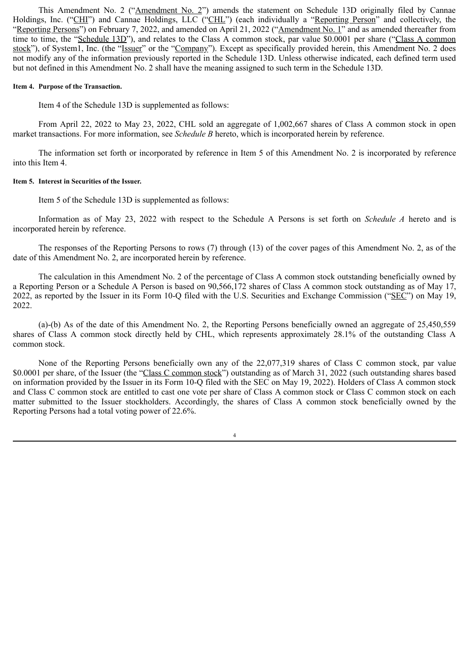This Amendment No. 2 ("Amendment No. 2") amends the statement on Schedule 13D originally filed by Cannae Holdings, Inc. ("CHI") and Cannae Holdings, LLC ("CHL") (each individually a "Reporting Person" and collectively, the "Reporting Persons") on February 7, 2022, and amended on April 21, 2022 ("Amendment No. 1" and as amended thereafter from time to time, the "Schedule 13D"), and relates to the Class A common stock, par value \$0.0001 per share ("Class A common stock"), of System1, Inc. (the "Issuer" or the "Company"). Except as specifically provided herein, this Amendment No. 2 does not modify any of the information previously reported in the Schedule 13D. Unless otherwise indicated, each defined term used but not defined in this Amendment No. 2 shall have the meaning assigned to such term in the Schedule 13D.

#### **Item 4. Purpose of the Transaction.**

Item 4 of the Schedule 13D is supplemented as follows:

From April 22, 2022 to May 23, 2022, CHL sold an aggregate of 1,002,667 shares of Class A common stock in open market transactions. For more information, see *Schedule B* hereto, which is incorporated herein by reference.

The information set forth or incorporated by reference in Item 5 of this Amendment No. 2 is incorporated by reference into this Item 4.

#### **Item 5. Interest in Securities of the Issuer.**

Item 5 of the Schedule 13D is supplemented as follows:

Information as of May 23, 2022 with respect to the Schedule A Persons is set forth on *Schedule A* hereto and is incorporated herein by reference.

The responses of the Reporting Persons to rows (7) through (13) of the cover pages of this Amendment No. 2, as of the date of this Amendment No. 2, are incorporated herein by reference.

The calculation in this Amendment No. 2 of the percentage of Class A common stock outstanding beneficially owned by a Reporting Person or a Schedule A Person is based on 90,566,172 shares of Class A common stock outstanding as of May 17, 2022, as reported by the Issuer in its Form 10-Q filed with the U.S. Securities and Exchange Commission ("SEC") on May 19, 2022.

(a)-(b) As of the date of this Amendment No. 2, the Reporting Persons beneficially owned an aggregate of 25,450,559 shares of Class A common stock directly held by CHL, which represents approximately 28.1% of the outstanding Class A common stock.

None of the Reporting Persons beneficially own any of the 22,077,319 shares of Class C common stock, par value \$0.0001 per share, of the Issuer (the "Class C common stock") outstanding as of March 31, 2022 (such outstanding shares based on information provided by the Issuer in its Form 10-Q filed with the SEC on May 19, 2022). Holders of Class A common stock and Class C common stock are entitled to cast one vote per share of Class A common stock or Class C common stock on each matter submitted to the Issuer stockholders. Accordingly, the shares of Class A common stock beneficially owned by the Reporting Persons had a total voting power of 22.6%.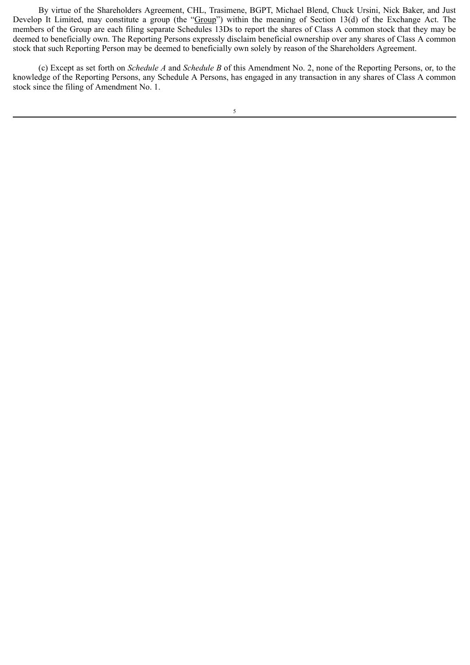By virtue of the Shareholders Agreement, CHL, Trasimene, BGPT, Michael Blend, Chuck Ursini, Nick Baker, and Just Develop It Limited, may constitute a group (the "Group") within the meaning of Section 13(d) of the Exchange Act. The members of the Group are each filing separate Schedules 13Ds to report the shares of Class A common stock that they may be deemed to beneficially own. The Reporting Persons expressly disclaim beneficial ownership over any shares of Class A common stock that such Reporting Person may be deemed to beneficially own solely by reason of the Shareholders Agreement.

(c) Except as set forth on *Schedule A* and *Schedule B* of this Amendment No. 2, none of the Reporting Persons, or, to the knowledge of the Reporting Persons, any Schedule A Persons, has engaged in any transaction in any shares of Class A common stock since the filing of Amendment No. 1.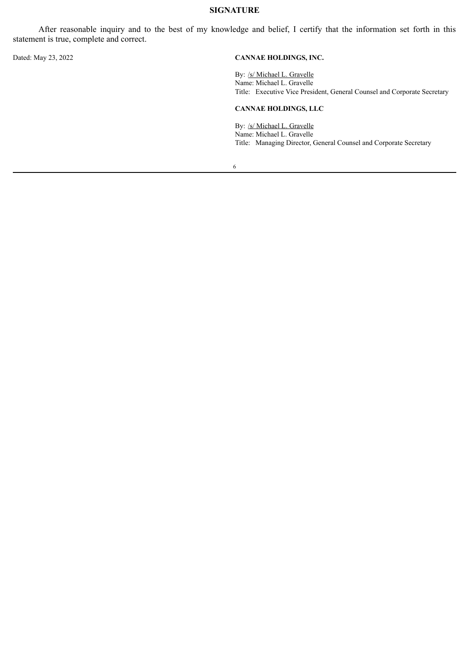### **SIGNATURE**

After reasonable inquiry and to the best of my knowledge and belief, I certify that the information set forth in this statement is true, complete and correct.

#### Dated: May 23, 2022 **CANNAE HOLDINGS, INC.**

By: /s/ Michael L. Gravelle Name: Michael L. Gravelle Title: Executive Vice President, General Counsel and Corporate Secretary

#### **CANNAE HOLDINGS, LLC**

By: /s/ Michael L. Gravelle Name: Michael L. Gravelle Title: Managing Director, General Counsel and Corporate Secretary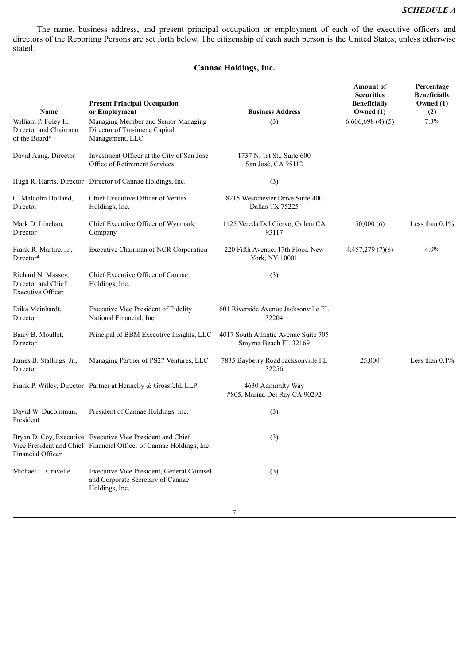### *SCHEDULE A*

The name, business address, and present principal occupation or employment of each of the executive officers and directors of the Reporting Persons are set forth below. The citizenship of each such person is the United States, unless otherwise stated.

## **Cannae Holdings, Inc.**

| Name                                                                 | <b>Present Principal Occupation</b><br>or Employment                                                                              | <b>Business Address</b>                                       | <b>Amount</b> of<br><b>Securities</b><br><b>Beneficially</b><br>Owned (1) | Percentage<br><b>Beneficially</b><br>Owned (1)<br>(2) |
|----------------------------------------------------------------------|-----------------------------------------------------------------------------------------------------------------------------------|---------------------------------------------------------------|---------------------------------------------------------------------------|-------------------------------------------------------|
| William P. Foley II,<br>Director and Chairman<br>of the Board*       | Managing Member and Senior Managing<br>Director of Trasimene Capital<br>Management, LLC                                           | (3)                                                           | 6,606,698(4)(5)                                                           | 7.3%                                                  |
| David Aung, Director                                                 | Investment Officer at the City of San Jose<br>Office of Retirement Services                                                       | 1737 N. 1st St., Suite 600<br>San José, CA 95112              |                                                                           |                                                       |
|                                                                      | Hugh R. Harris, Director Director of Cannae Holdings, Inc.                                                                        | (3)                                                           |                                                                           |                                                       |
| C. Malcolm Holland,<br>Director                                      | Chief Executive Officer of Veritex<br>Holdings, Inc.                                                                              | 8215 Westchester Drive Suite 400<br>Dallas TX 75225           |                                                                           |                                                       |
| Mark D. Linehan,<br>Director                                         | Chief Executive Officer of Wynmark<br>Company                                                                                     | 1125 Vereda Del Ciervo, Goleta CA<br>93117                    | 50,000(6)                                                                 | Less than $0.1\%$                                     |
| Frank R. Martire, Jr.,<br>Director*                                  | Executive Chairman of NCR Corporation                                                                                             | 220 Fifth Avenue, 17th Floor, New<br>York, NY 10001           | 4,457,279(7)(8)                                                           | 4.9%                                                  |
| Richard N. Massey,<br>Director and Chief<br><b>Executive Officer</b> | Chief Executive Officer of Cannae<br>Holdings, Inc.                                                                               | (3)                                                           |                                                                           |                                                       |
| Erika Meinhardt,<br>Director                                         | Executive Vice President of Fidelity<br>National Financial, Inc.                                                                  | 601 Riverside Avenue Jacksonville FL<br>32204                 |                                                                           |                                                       |
| Barry B. Moullet,<br>Director                                        | Principal of BBM Executive Insights, LLC                                                                                          | 4017 South Atlantic Avenue Suite 705<br>Smyrna Beach FL 32169 |                                                                           |                                                       |
| James B. Stallings, Jr.,<br>Director                                 | Managing Partner of PS27 Ventures, LLC                                                                                            | 7835 Bayberry Road Jacksonville FL<br>32256                   | 25,000                                                                    | Less than $0.1\%$                                     |
|                                                                      | Frank P. Willey, Director Partner at Hennelly & Grossfeld, LLP                                                                    | 4630 Admiralty Way<br>#805, Marina Del Ray CA 90292           |                                                                           |                                                       |
| David W. Ducommun,<br>President                                      | President of Cannae Holdings, Inc.                                                                                                | (3)                                                           |                                                                           |                                                       |
| <b>Financial Officer</b>                                             | Bryan D. Coy, Executive Executive Vice President and Chief<br>Vice President and Chief Financial Officer of Cannae Holdings, Inc. | (3)                                                           |                                                                           |                                                       |
| Michael L. Gravelle                                                  | Executive Vice President, General Counsel<br>and Corporate Secretary of Cannae<br>Holdings, Inc.                                  | (3)                                                           |                                                                           |                                                       |
|                                                                      |                                                                                                                                   |                                                               |                                                                           |                                                       |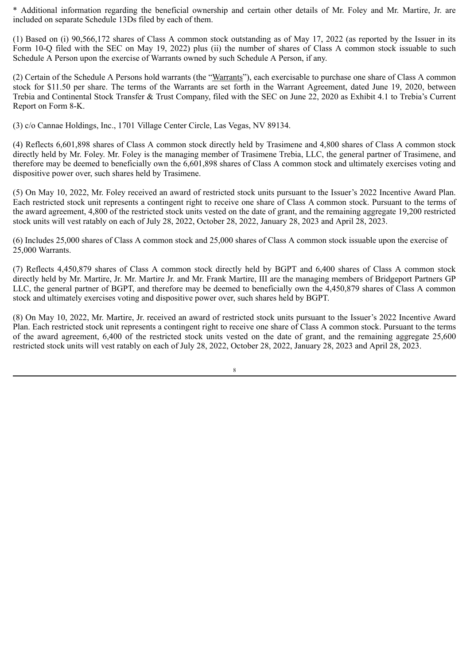\* Additional information regarding the beneficial ownership and certain other details of Mr. Foley and Mr. Martire, Jr. are included on separate Schedule 13Ds filed by each of them.

(1) Based on (i) 90,566,172 shares of Class A common stock outstanding as of May 17, 2022 (as reported by the Issuer in its Form 10-Q filed with the SEC on May 19, 2022) plus (ii) the number of shares of Class A common stock issuable to such Schedule A Person upon the exercise of Warrants owned by such Schedule A Person, if any.

(2) Certain of the Schedule A Persons hold warrants (the "Warrants"), each exercisable to purchase one share of Class A common stock for \$11.50 per share. The terms of the Warrants are set forth in the Warrant Agreement, dated June 19, 2020, between Trebia and Continental Stock Transfer & Trust Company, filed with the SEC on June 22, 2020 as Exhibit 4.1 to Trebia's Current Report on Form 8-K.

(3) c/o Cannae Holdings, Inc., 1701 Village Center Circle, Las Vegas, NV 89134.

(4) Reflects 6,601,898 shares of Class A common stock directly held by Trasimene and 4,800 shares of Class A common stock directly held by Mr. Foley. Mr. Foley is the managing member of Trasimene Trebia, LLC, the general partner of Trasimene, and therefore may be deemed to beneficially own the 6,601,898 shares of Class A common stock and ultimately exercises voting and dispositive power over, such shares held by Trasimene.

(5) On May 10, 2022, Mr. Foley received an award of restricted stock units pursuant to the Issuer's 2022 Incentive Award Plan. Each restricted stock unit represents a contingent right to receive one share of Class A common stock. Pursuant to the terms of the award agreement, 4,800 of the restricted stock units vested on the date of grant, and the remaining aggregate 19,200 restricted stock units will vest ratably on each of July 28, 2022, October 28, 2022, January 28, 2023 and April 28, 2023.

(6) Includes 25,000 shares of Class A common stock and 25,000 shares of Class A common stock issuable upon the exercise of 25,000 Warrants.

(7) Reflects 4,450,879 shares of Class A common stock directly held by BGPT and 6,400 shares of Class A common stock directly held by Mr. Martire, Jr. Mr. Martire Jr. and Mr. Frank Martire, III are the managing members of Bridgeport Partners GP LLC, the general partner of BGPT, and therefore may be deemed to beneficially own the 4,450,879 shares of Class A common stock and ultimately exercises voting and dispositive power over, such shares held by BGPT.

(8) On May 10, 2022, Mr. Martire, Jr. received an award of restricted stock units pursuant to the Issuer's 2022 Incentive Award Plan. Each restricted stock unit represents a contingent right to receive one share of Class A common stock. Pursuant to the terms of the award agreement, 6,400 of the restricted stock units vested on the date of grant, and the remaining aggregate 25,600 restricted stock units will vest ratably on each of July 28, 2022, October 28, 2022, January 28, 2023 and April 28, 2023.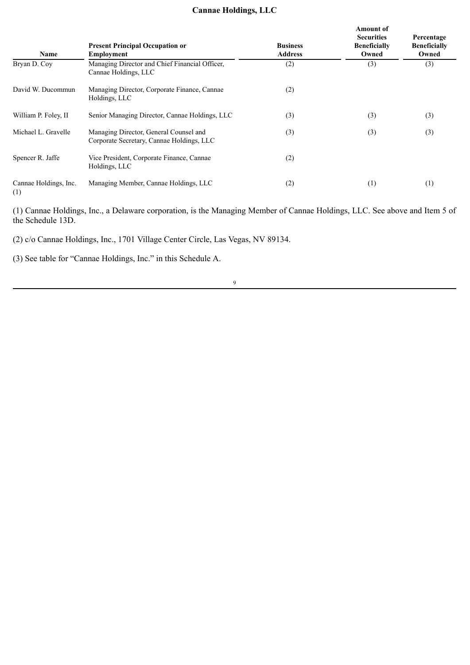# **Cannae Holdings, LLC**

| Name                         | <b>Present Principal Occupation or</b><br><b>Employment</b>                         | <b>Business</b><br><b>Address</b> | <b>Amount</b> of<br><b>Securities</b><br><b>Beneficially</b><br>Owned | Percentage<br><b>Beneficially</b><br>Owned |
|------------------------------|-------------------------------------------------------------------------------------|-----------------------------------|-----------------------------------------------------------------------|--------------------------------------------|
| Bryan D. Cov                 | Managing Director and Chief Financial Officer,<br>Cannae Holdings, LLC              | (2)                               | (3)                                                                   | (3)                                        |
| David W. Ducommun            | Managing Director, Corporate Finance, Cannae<br>Holdings, LLC                       | (2)                               |                                                                       |                                            |
| William P. Foley, II         | Senior Managing Director, Cannae Holdings, LLC                                      | (3)                               | (3)                                                                   | (3)                                        |
| Michael L. Gravelle          | Managing Director, General Counsel and<br>Corporate Secretary, Cannae Holdings, LLC | (3)                               | (3)                                                                   | (3)                                        |
| Spencer R. Jaffe             | Vice President, Corporate Finance, Cannae<br>Holdings, LLC                          | (2)                               |                                                                       |                                            |
| Cannae Holdings, Inc.<br>(1) | Managing Member, Cannae Holdings, LLC                                               | (2)                               | (1)                                                                   | (1)                                        |

(1) Cannae Holdings, Inc., a Delaware corporation, is the Managing Member of Cannae Holdings, LLC. See above and Item 5 of the Schedule 13D.

(2) c/o Cannae Holdings, Inc., 1701 Village Center Circle, Las Vegas, NV 89134.

(3) See table for "Cannae Holdings, Inc." in this Schedule A.

9